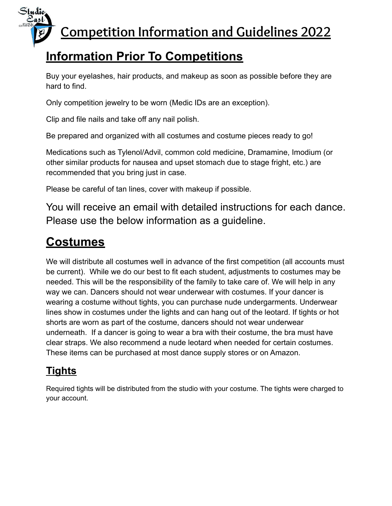

# **Information Prior To Competitions**

Buy your eyelashes, hair products, and makeup as soon as possible before they are hard to find.

Only competition jewelry to be worn (Medic IDs are an exception).

Clip and file nails and take off any nail polish.

Be prepared and organized with all costumes and costume pieces ready to go!

Medications such as Tylenol/Advil, common cold medicine, Dramamine, Imodium (or other similar products for nausea and upset stomach due to stage fright, etc.) are recommended that you bring just in case.

Please be careful of tan lines, cover with makeup if possible.

You will receive an email with detailed instructions for each dance. Please use the below information as a guideline.

### **Costumes**

Studio<br><u>Sast</u>

We will distribute all costumes well in advance of the first competition (all accounts must be current). While we do our best to fit each student, adjustments to costumes may be needed. This will be the responsibility of the family to take care of. We will help in any way we can. Dancers should not wear underwear with costumes. If your dancer is wearing a costume without tights, you can purchase nude undergarments. Underwear lines show in costumes under the lights and can hang out of the leotard. If tights or hot shorts are worn as part of the costume, dancers should not wear underwear underneath. If a dancer is going to wear a bra with their costume, the bra must have clear straps. We also recommend a nude leotard when needed for certain costumes. These items can be purchased at most dance supply stores or on Amazon.

#### **Tights**

Required tights will be distributed from the studio with your costume. The tights were charged to your account.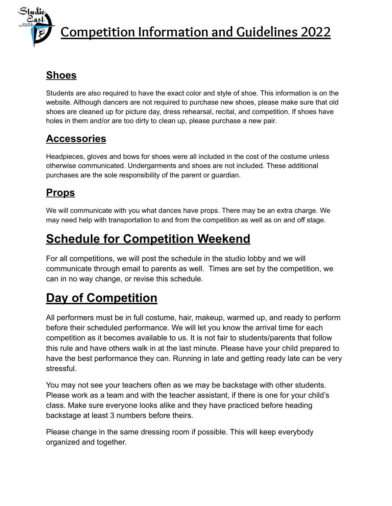**Competition Information and Guidelines 2022**

#### **Shoes**

Students are also required to have the exact color and style of shoe. This information is on the website. Although dancers are not required to purchase new shoes, please make sure that old shoes are cleaned up for picture day, dress rehearsal, recital, and competition. If shoes have holes in them and/or are too dirty to clean up, please purchase a new pair.

#### **Accessories**

Headpieces, gloves and bows for shoes were all included in the cost of the costume unless otherwise communicated. Undergarments and shoes are not included. These additional purchases are the sole responsibility of the parent or guardian.

#### **Props**

We will communicate with you what dances have props. There may be an extra charge. We may need help with transportation to and from the competition as well as on and off stage.

#### **Schedule for Competition Weekend**

For all competitions, we will post the schedule in the studio lobby and we will communicate through email to parents as well. Times are set by the competition, we can in no way change, or revise this schedule.

# **Day of Competition**

All performers must be in full costume, hair, makeup, warmed up, and ready to perform before their scheduled performance. We will let you know the arrival time for each competition as it becomes available to us. It is not fair to students/parents that follow this rule and have others walk in at the last minute. Please have your child prepared to have the best performance they can. Running in late and getting ready late can be very stressful.

You may not see your teachers often as we may be backstage with other students. Please work as a team and with the teacher assistant, if there is one for your child's class. Make sure everyone looks alike and they have practiced before heading backstage at least 3 numbers before theirs.

Please change in the same dressing room if possible. This will keep everybody organized and together.